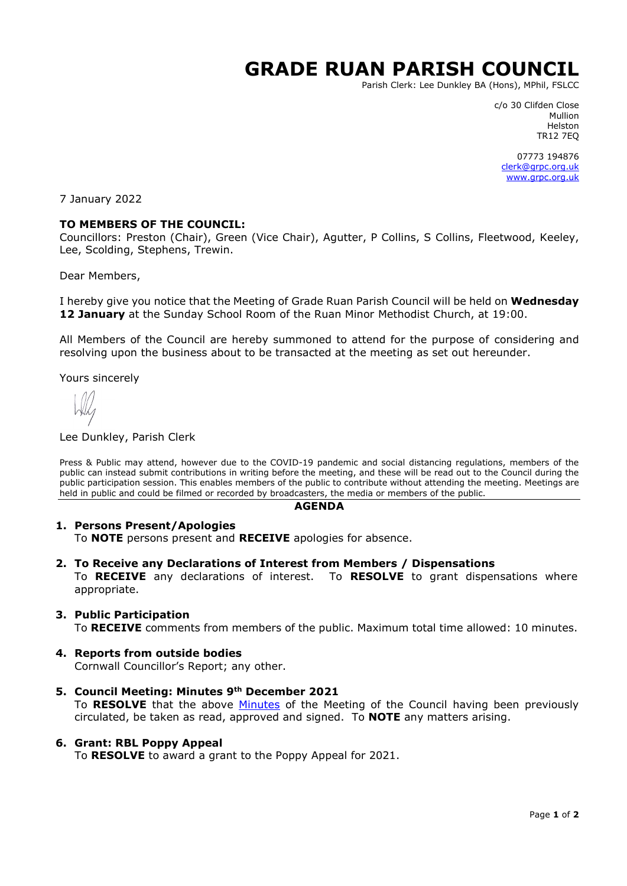# **GRADE RUAN PARISH COUNCIL**

Parish Clerk: Lee Dunkley BA (Hons), MPhil, FSLCC

c/o 30 Clifden Close Mullion Helston TR12 7EQ

07773 194876 [clerk@grpc.org.uk](mailto:clerk@grpc.org.uk) [www.grpc.org.uk](http://www.grpc.org.uk/)

7 January 2022

## **TO MEMBERS OF THE COUNCIL:**

Councillors: Preston (Chair), Green (Vice Chair), Agutter, P Collins, S Collins, Fleetwood, Keeley, Lee, Scolding, Stephens, Trewin.

Dear Members,

I hereby give you notice that the Meeting of Grade Ruan Parish Council will be held on **Wednesday 12 January** at the Sunday School Room of the Ruan Minor Methodist Church, at 19:00.

All Members of the Council are hereby summoned to attend for the purpose of considering and resolving upon the business about to be transacted at the meeting as set out hereunder.

Yours sincerely

#### Lee Dunkley, Parish Clerk

Press & Public may attend, however due to the COVID-19 pandemic and social distancing regulations, members of the public can instead submit contributions in writing before the meeting, and these will be read out to the Council during the public participation session. This enables members of the public to contribute without attending the meeting. Meetings are held in public and could be filmed or recorded by broadcasters, the media or members of the public.

#### **AGENDA**

#### **1. Persons Present/Apologies**

To **NOTE** persons present and **RECEIVE** apologies for absence.

#### **2. To Receive any Declarations of Interest from Members / Dispensations**

To **RECEIVE** any declarations of interest. To **RESOLVE** to grant dispensations where appropriate.

#### **3. Public Participation**

To **RECEIVE** comments from members of the public. Maximum total time allowed: 10 minutes.

#### **4. Reports from outside bodies**

Cornwall Councillor's Report; any other.

**5. Council Meeting: Minutes 9th December 2021** To **RESOLVE** that the above [Minutes](https://www.grpc.org.uk/files/8316/3939/3223/Minutes_9_December_2021_DRAFT.pdf) of the Meeting of the Council having been previously circulated, be taken as read, approved and signed. To **NOTE** any matters arising.

#### **6. Grant: RBL Poppy Appeal**

To **RESOLVE** to award a grant to the Poppy Appeal for 2021.